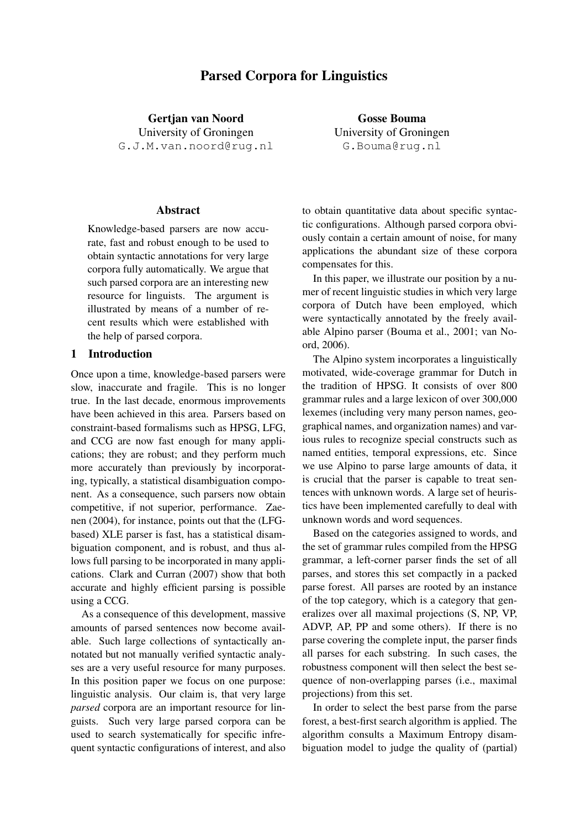# Parsed Corpora for Linguistics

Gertjan van Noord University of Groningen G.J.M.van.noord@rug.nl

Abstract

Knowledge-based parsers are now accurate, fast and robust enough to be used to obtain syntactic annotations for very large corpora fully automatically. We argue that such parsed corpora are an interesting new resource for linguists. The argument is illustrated by means of a number of recent results which were established with the help of parsed corpora.

## 1 Introduction

Once upon a time, knowledge-based parsers were slow, inaccurate and fragile. This is no longer true. In the last decade, enormous improvements have been achieved in this area. Parsers based on constraint-based formalisms such as HPSG, LFG, and CCG are now fast enough for many applications; they are robust; and they perform much more accurately than previously by incorporating, typically, a statistical disambiguation component. As a consequence, such parsers now obtain competitive, if not superior, performance. Zaenen (2004), for instance, points out that the (LFGbased) XLE parser is fast, has a statistical disambiguation component, and is robust, and thus allows full parsing to be incorporated in many applications. Clark and Curran (2007) show that both accurate and highly efficient parsing is possible using a CCG.

As a consequence of this development, massive amounts of parsed sentences now become available. Such large collections of syntactically annotated but not manually verified syntactic analyses are a very useful resource for many purposes. In this position paper we focus on one purpose: linguistic analysis. Our claim is, that very large *parsed* corpora are an important resource for linguists. Such very large parsed corpora can be used to search systematically for specific infrequent syntactic configurations of interest, and also

Gosse Bouma University of Groningen G.Bouma@rug.nl

to obtain quantitative data about specific syntactic configurations. Although parsed corpora obviously contain a certain amount of noise, for many applications the abundant size of these corpora compensates for this.

In this paper, we illustrate our position by a numer of recent linguistic studies in which very large corpora of Dutch have been employed, which were syntactically annotated by the freely available Alpino parser (Bouma et al., 2001; van Noord, 2006).

The Alpino system incorporates a linguistically motivated, wide-coverage grammar for Dutch in the tradition of HPSG. It consists of over 800 grammar rules and a large lexicon of over 300,000 lexemes (including very many person names, geographical names, and organization names) and various rules to recognize special constructs such as named entities, temporal expressions, etc. Since we use Alpino to parse large amounts of data, it is crucial that the parser is capable to treat sentences with unknown words. A large set of heuristics have been implemented carefully to deal with unknown words and word sequences.

Based on the categories assigned to words, and the set of grammar rules compiled from the HPSG grammar, a left-corner parser finds the set of all parses, and stores this set compactly in a packed parse forest. All parses are rooted by an instance of the top category, which is a category that generalizes over all maximal projections (S, NP, VP, ADVP, AP, PP and some others). If there is no parse covering the complete input, the parser finds all parses for each substring. In such cases, the robustness component will then select the best sequence of non-overlapping parses (i.e., maximal projections) from this set.

In order to select the best parse from the parse forest, a best-first search algorithm is applied. The algorithm consults a Maximum Entropy disambiguation model to judge the quality of (partial)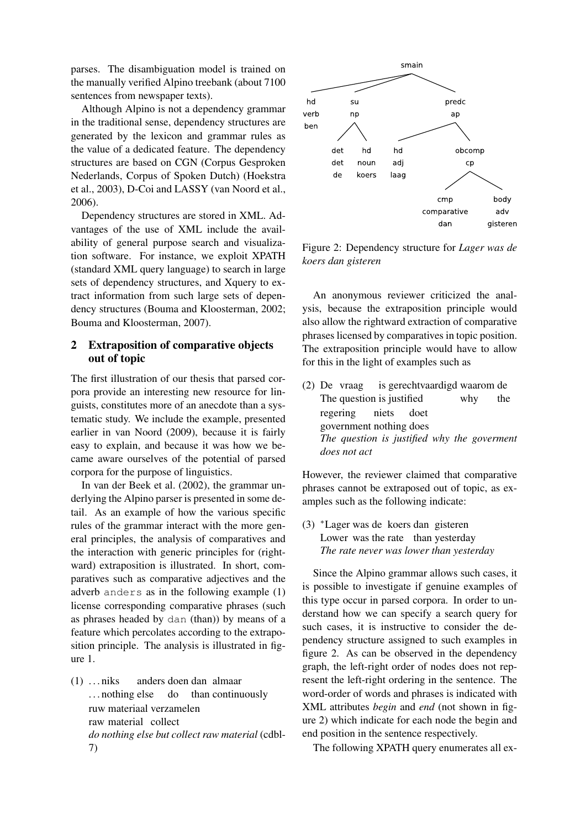parses. The disambiguation model is trained on the manually verified Alpino treebank (about 7100 sentences from newspaper texts).

Although Alpino is not a dependency grammar in the traditional sense, dependency structures are generated by the lexicon and grammar rules as the value of a dedicated feature. The dependency structures are based on CGN (Corpus Gesproken Nederlands, Corpus of Spoken Dutch) (Hoekstra et al., 2003), D-Coi and LASSY (van Noord et al., 2006).

Dependency structures are stored in XML. Advantages of the use of XML include the availability of general purpose search and visualization software. For instance, we exploit XPATH (standard XML query language) to search in large sets of dependency structures, and Xquery to extract information from such large sets of dependency structures (Bouma and Kloosterman, 2002; Bouma and Kloosterman, 2007).

## 2 Extraposition of comparative objects out of topic

The first illustration of our thesis that parsed corpora provide an interesting new resource for linguists, constitutes more of an anecdote than a systematic study. We include the example, presented earlier in van Noord (2009), because it is fairly easy to explain, and because it was how we became aware ourselves of the potential of parsed corpora for the purpose of linguistics.

In van der Beek et al. (2002), the grammar underlying the Alpino parser is presented in some detail. As an example of how the various specific rules of the grammar interact with the more general principles, the analysis of comparatives and the interaction with generic principles for (rightward) extraposition is illustrated. In short, comparatives such as comparative adjectives and the adverb anders as in the following example (1) license corresponding comparative phrases (such as phrases headed by dan (than)) by means of a feature which percolates according to the extraposition principle. The analysis is illustrated in figure 1.

 $(1)$  ... niks ... nothing else anders doen dan almaar do than continuously ruw materiaal verzamelen raw material collect *do nothing else but collect raw material* (cdbl-7)



Figure 2: Dependency structure for *Lager was de koers dan gisteren*

An anonymous reviewer criticized the analysis, because the extraposition principle would also allow the rightward extraction of comparative phrases licensed by comparatives in topic position. The extraposition principle would have to allow for this in the light of examples such as

(2) De vraag The question is justified is gerechtvaardigd waarom de why the regering government nothing does niets doet *The question is justified why the goverment does not act*

However, the reviewer claimed that comparative phrases cannot be extraposed out of topic, as examples such as the following indicate:

(3) <sup>∗</sup>Lager was de koers dan gisteren Lower was the rate than yesterday *The rate never was lower than yesterday*

Since the Alpino grammar allows such cases, it is possible to investigate if genuine examples of this type occur in parsed corpora. In order to understand how we can specify a search query for such cases, it is instructive to consider the dependency structure assigned to such examples in figure 2. As can be observed in the dependency graph, the left-right order of nodes does not represent the left-right ordering in the sentence. The word-order of words and phrases is indicated with XML attributes *begin* and *end* (not shown in figure 2) which indicate for each node the begin and end position in the sentence respectively.

The following XPATH query enumerates all ex-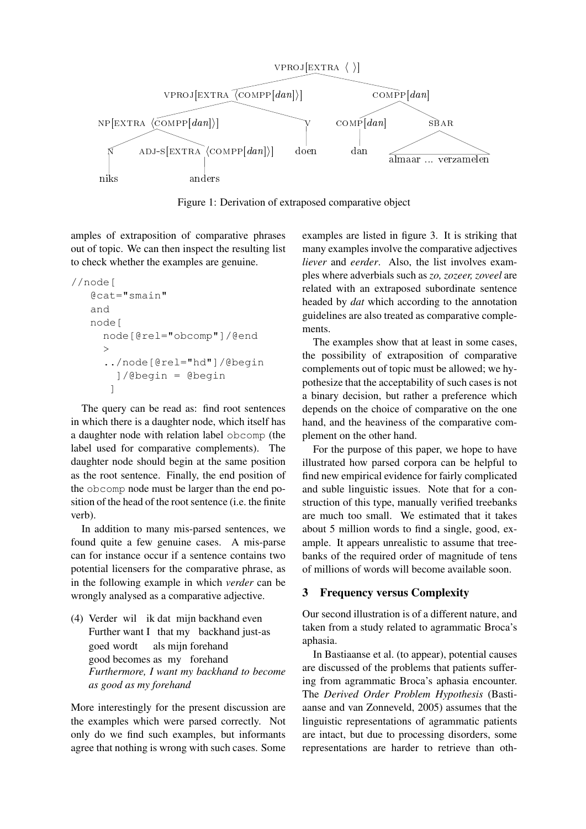

Figure 1: Derivation of extraposed comparative object

amples of extraposition of comparative phrases out of topic. We can then inspect the resulting list to check whether the examples are genuine.

```
//node[
@cat="smain"
and
node[
  node[@rel="obcomp"]/@end
  \rightarrow../node[@rel="hd"]/@begin
     ]/@begin = @begin
   ]
```
The query can be read as: find root sentences in which there is a daughter node, which itself has a daughter node with relation label obcomp (the label used for comparative complements). The daughter node should begin at the same position as the root sentence. Finally, the end position of the obcomp node must be larger than the end position of the head of the root sentence (i.e. the finite verb).

In addition to many mis-parsed sentences, we found quite a few genuine cases. A mis-parse can for instance occur if a sentence contains two potential licensers for the comparative phrase, as in the following example in which *verder* can be wrongly analysed as a comparative adjective.

(4) Verder wil ik dat mijn backhand even Further want I that my backhand just-as goed wordt good becomes as my forehand als mijn forehand *Furthermore, I want my backhand to become as good as my forehand*

More interestingly for the present discussion are the examples which were parsed correctly. Not only do we find such examples, but informants agree that nothing is wrong with such cases. Some examples are listed in figure 3. It is striking that many examples involve the comparative adjectives *liever* and *eerder*. Also, the list involves examples where adverbials such as *zo, zozeer, zoveel* are related with an extraposed subordinate sentence headed by *dat* which according to the annotation guidelines are also treated as comparative complements.

The examples show that at least in some cases, the possibility of extraposition of comparative complements out of topic must be allowed; we hypothesize that the acceptability of such cases is not a binary decision, but rather a preference which depends on the choice of comparative on the one hand, and the heaviness of the comparative complement on the other hand.

For the purpose of this paper, we hope to have illustrated how parsed corpora can be helpful to find new empirical evidence for fairly complicated and suble linguistic issues. Note that for a construction of this type, manually verified treebanks are much too small. We estimated that it takes about 5 million words to find a single, good, example. It appears unrealistic to assume that treebanks of the required order of magnitude of tens of millions of words will become available soon.

## 3 Frequency versus Complexity

Our second illustration is of a different nature, and taken from a study related to agrammatic Broca's aphasia.

In Bastiaanse et al. (to appear), potential causes are discussed of the problems that patients suffering from agrammatic Broca's aphasia encounter. The *Derived Order Problem Hypothesis* (Bastiaanse and van Zonneveld, 2005) assumes that the linguistic representations of agrammatic patients are intact, but due to processing disorders, some representations are harder to retrieve than oth-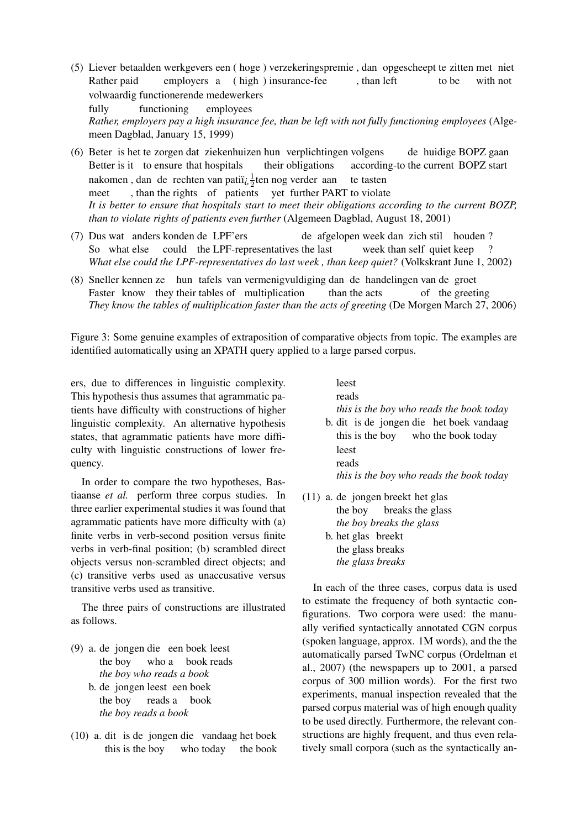- (5) Liever betaalden werkgevers een ( hoge ) verzekeringspremie , dan opgescheept te zitten met niet Rather paid employers a ( high ) insurance-fee , than left to be with not volwaardig functionerende medewerkers fully functioning employees *Rather, employers pay a high insurance fee, than be left with not fully functioning employees* (Algemeen Dagblad, January 15, 1999)
- (6) Beter is het te zorgen dat ziekenhuizen hun verplichtingen volgens Better is it to ensure that hospitals their obligations according-to the current BOPZ start de huidige BOPZ gaan nakomen, dan de rechten van patiï $\frac{1}{2}$ ten nog verder aan meet , than the rights of patients yet further PART to violate te tasten *It is better to ensure that hospitals start to meet their obligations according to the current BOZP, than to violate rights of patients even further* (Algemeen Dagblad, August 18, 2001)
- (7) Dus wat anders konden de LPF'ers So what else could the LPF-representatives the last de afgelopen week dan zich stil houden ? week than self quiet keep ? *What else could the LPF-representatives do last week , than keep quiet?* (Volkskrant June 1, 2002)
- (8) Sneller kennen ze hun tafels van vermenigvuldiging dan de handelingen van de groet Faster know they their tables of multiplication than the acts of the greeting *They know the tables of multiplication faster than the acts of greeting* (De Morgen March 27, 2006)

Figure 3: Some genuine examples of extraposition of comparative objects from topic. The examples are identified automatically using an XPATH query applied to a large parsed corpus.

ers, due to differences in linguistic complexity. This hypothesis thus assumes that agrammatic patients have difficulty with constructions of higher linguistic complexity. An alternative hypothesis states, that agrammatic patients have more difficulty with linguistic constructions of lower frequency.

In order to compare the two hypotheses, Bastiaanse *et al.* perform three corpus studies. In three earlier experimental studies it was found that agrammatic patients have more difficulty with (a) finite verbs in verb-second position versus finite verbs in verb-final position; (b) scrambled direct objects versus non-scrambled direct objects; and (c) transitive verbs used as unaccusative versus transitive verbs used as transitive.

The three pairs of constructions are illustrated as follows.

- (9) a. de jongen die een boek leest the boy who a book reads *the boy who reads a book* b. de jongen leest een boek the boy reads a book *the boy reads a book*
- (10) a. dit is de jongen die vandaag het boek this is the boy who today the book

leest reads *this is the boy who reads the book today* b. dit is de jongen die het boek vandaag

- this is the boy who the book today leest reads *this is the boy who reads the book today*
- (11) a. de jongen breekt het glas the boy breaks the glass *the boy breaks the glass*
	- b. het glas breekt the glass breaks *the glass breaks*

In each of the three cases, corpus data is used to estimate the frequency of both syntactic configurations. Two corpora were used: the manually verified syntactically annotated CGN corpus (spoken language, approx. 1M words), and the the automatically parsed TwNC corpus (Ordelman et al., 2007) (the newspapers up to 2001, a parsed corpus of 300 million words). For the first two experiments, manual inspection revealed that the parsed corpus material was of high enough quality to be used directly. Furthermore, the relevant constructions are highly frequent, and thus even relatively small corpora (such as the syntactically an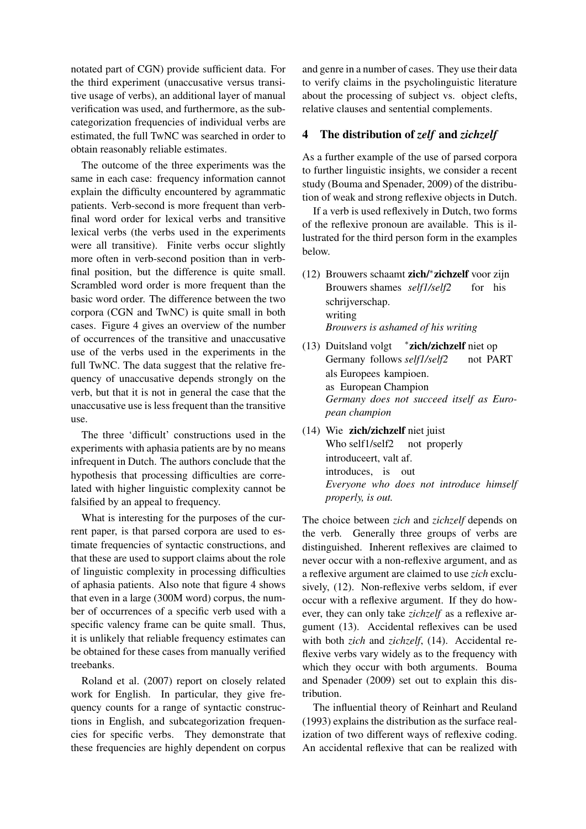notated part of CGN) provide sufficient data. For the third experiment (unaccusative versus transitive usage of verbs), an additional layer of manual verification was used, and furthermore, as the subcategorization frequencies of individual verbs are estimated, the full TwNC was searched in order to obtain reasonably reliable estimates.

The outcome of the three experiments was the same in each case: frequency information cannot explain the difficulty encountered by agrammatic patients. Verb-second is more frequent than verbfinal word order for lexical verbs and transitive lexical verbs (the verbs used in the experiments were all transitive). Finite verbs occur slightly more often in verb-second position than in verbfinal position, but the difference is quite small. Scrambled word order is more frequent than the basic word order. The difference between the two corpora (CGN and TwNC) is quite small in both cases. Figure 4 gives an overview of the number of occurrences of the transitive and unaccusative use of the verbs used in the experiments in the full TwNC. The data suggest that the relative frequency of unaccusative depends strongly on the verb, but that it is not in general the case that the unaccusative use is less frequent than the transitive use.

The three 'difficult' constructions used in the experiments with aphasia patients are by no means infrequent in Dutch. The authors conclude that the hypothesis that processing difficulties are correlated with higher linguistic complexity cannot be falsified by an appeal to frequency.

What is interesting for the purposes of the current paper, is that parsed corpora are used to estimate frequencies of syntactic constructions, and that these are used to support claims about the role of linguistic complexity in processing difficulties of aphasia patients. Also note that figure 4 shows that even in a large (300M word) corpus, the number of occurrences of a specific verb used with a specific valency frame can be quite small. Thus, it is unlikely that reliable frequency estimates can be obtained for these cases from manually verified treebanks.

Roland et al. (2007) report on closely related work for English. In particular, they give frequency counts for a range of syntactic constructions in English, and subcategorization frequencies for specific verbs. They demonstrate that these frequencies are highly dependent on corpus

and genre in a number of cases. They use their data to verify claims in the psycholinguistic literature about the processing of subject vs. object clefts, relative clauses and sentential complements.

#### 4 The distribution of *zelf* and *zichzelf*

As a further example of the use of parsed corpora to further linguistic insights, we consider a recent study (Bouma and Spenader, 2009) of the distribution of weak and strong reflexive objects in Dutch.

If a verb is used reflexively in Dutch, two forms of the reflexive pronoun are available. This is illustrated for the third person form in the examples below.

- (12) Brouwers schaamt zich/<sup>∗</sup> zichzelf voor zijn Brouwers shames *self1/self2* for his schrijverschap. writing *Brouwers is ashamed of his writing*
- (13) Duitsland volgt Germany follows *self1/self2* ∗ zich/zichzelf niet op not PART als Europees kampioen. as European Champion *Germany does not succeed itself as European champion*
- (14) Wie zich/zichzelf niet juist Who self1/self2 not properly introduceert, valt af. introduces, is out *Everyone who does not introduce himself properly, is out.*

The choice between *zich* and *zichzelf* depends on the verb. Generally three groups of verbs are distinguished. Inherent reflexives are claimed to never occur with a non-reflexive argument, and as a reflexive argument are claimed to use *zich* exclusively, (12). Non-reflexive verbs seldom, if ever occur with a reflexive argument. If they do however, they can only take *zichzelf* as a reflexive argument (13). Accidental reflexives can be used with both *zich* and *zichzelf*, (14). Accidental reflexive verbs vary widely as to the frequency with which they occur with both arguments. Bouma and Spenader (2009) set out to explain this distribution.

The influential theory of Reinhart and Reuland (1993) explains the distribution as the surface realization of two different ways of reflexive coding. An accidental reflexive that can be realized with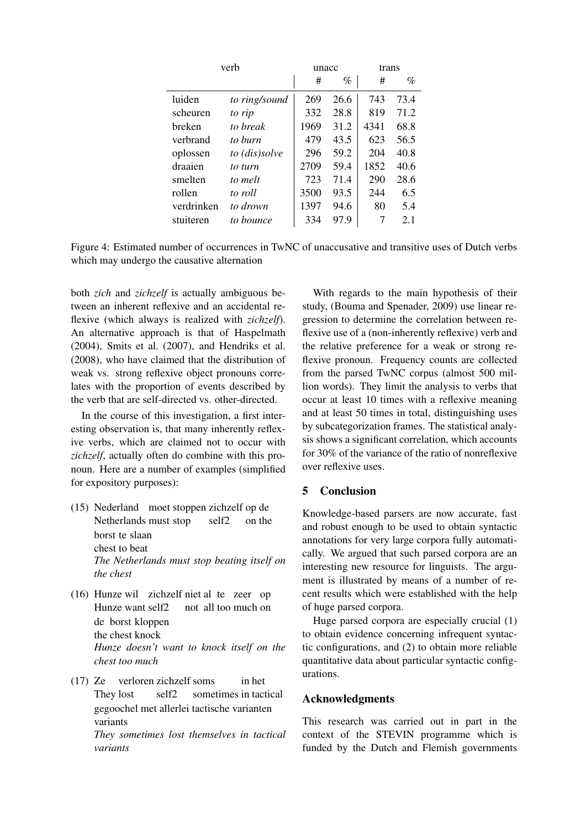| verh       |               | unacc |      | trans |      |
|------------|---------------|-------|------|-------|------|
|            |               | #     | $\%$ | #     | $\%$ |
| luiden     | to ring/sound | 269   | 26.6 | 743   | 73.4 |
| scheuren   | to rip        | 332   | 28.8 | 819   | 71.2 |
| hreken     | to break      | 1969  | 31.2 | 4341  | 68.8 |
| verbrand   | to burn       | 479   | 43.5 | 623   | 56.5 |
| oplossen   | to (dis)solve | 296   | 59.2 | 204   | 40.8 |
| draaien    | to turn       | 2709  | 59.4 | 1852  | 40.6 |
| smelten    | to melt       | 723   | 71.4 | 290   | 28.6 |
| rollen     | to roll       | 3500  | 93.5 | 244   | 6.5  |
| verdrinken | to drown      | 1397  | 94.6 | 80    | 5.4  |
| stuiteren  | to bounce     | 334   | 97.9 |       | 2.1  |

Figure 4: Estimated number of occurrences in TwNC of unaccusative and transitive uses of Dutch verbs which may undergo the causative alternation

both *zich* and *zichzelf* is actually ambiguous between an inherent reflexive and an accidental reflexive (which always is realized with *zichzelf*). An alternative approach is that of Haspelmath (2004), Smits et al. (2007), and Hendriks et al. (2008), who have claimed that the distribution of weak vs. strong reflexive object pronouns correlates with the proportion of events described by the verb that are self-directed vs. other-directed.

In the course of this investigation, a first interesting observation is, that many inherently reflexive verbs, which are claimed not to occur with *zichzelf*, actually often do combine with this pronoun. Here are a number of examples (simplified for expository purposes):

- (15) Nederland moet stoppen zichzelf op de Netherlands must stop self2 on the borst te slaan chest to beat *The Netherlands must stop beating itself on the chest*
- (16) Hunze wil zichzelf niet al te zeer op Hunze want self2 not all too much on de borst kloppen the chest knock *Hunze doesn't want to knock itself on the chest too much*
- (17) Ze They lost verloren zichzelf soms self2 sometimes in tactical in het gegoochel met allerlei tactische varianten variants *They sometimes lost themselves in tactical variants*

With regards to the main hypothesis of their study, (Bouma and Spenader, 2009) use linear regression to determine the correlation between reflexive use of a (non-inherently reflexive) verb and the relative preference for a weak or strong reflexive pronoun. Frequency counts are collected from the parsed TwNC corpus (almost 500 million words). They limit the analysis to verbs that occur at least 10 times with a reflexive meaning and at least 50 times in total, distinguishing uses by subcategorization frames. The statistical analysis shows a significant correlation, which accounts for 30% of the variance of the ratio of nonreflexive over reflexive uses.

## 5 Conclusion

Knowledge-based parsers are now accurate, fast and robust enough to be used to obtain syntactic annotations for very large corpora fully automatically. We argued that such parsed corpora are an interesting new resource for linguists. The argument is illustrated by means of a number of recent results which were established with the help of huge parsed corpora.

Huge parsed corpora are especially crucial (1) to obtain evidence concerning infrequent syntactic configurations, and (2) to obtain more reliable quantitative data about particular syntactic configurations.

#### Acknowledgments

This research was carried out in part in the context of the STEVIN programme which is funded by the Dutch and Flemish governments